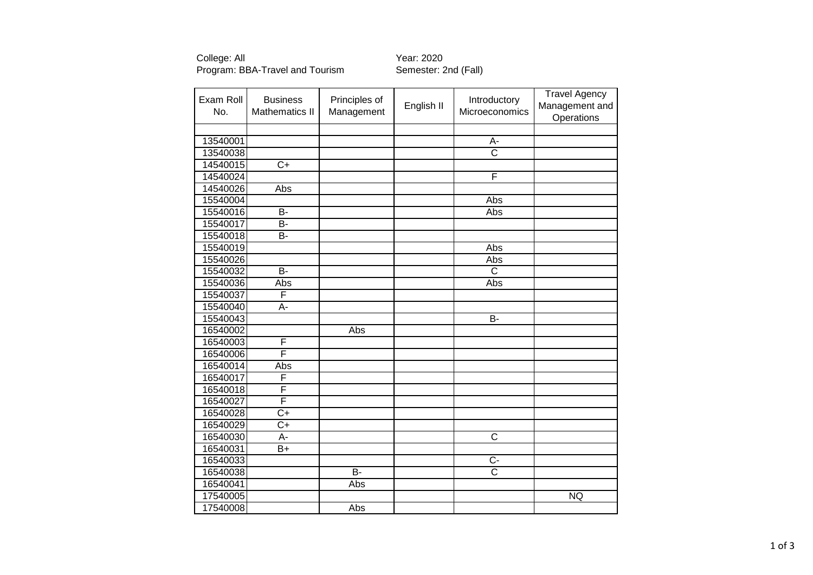College: All Year: 2020 Program: BBA-Travel and Tourism Semester: 2nd (Fall)

| Exam Roll<br>No. | <b>Business</b><br><b>Mathematics II</b> | Principles of<br>Management | English II | Introductory<br>Microeconomics | <b>Travel Agency</b><br>Management and<br>Operations |
|------------------|------------------------------------------|-----------------------------|------------|--------------------------------|------------------------------------------------------|
|                  |                                          |                             |            |                                |                                                      |
| 13540001         |                                          |                             |            | A-                             |                                                      |
| 13540038         |                                          |                             |            | $\overline{\text{c}}$          |                                                      |
| 14540015         | $C+$                                     |                             |            |                                |                                                      |
| 14540024         |                                          |                             |            | F                              |                                                      |
| 14540026         | Abs                                      |                             |            |                                |                                                      |
| 15540004         |                                          |                             |            | Abs                            |                                                      |
| 15540016         | B-                                       |                             |            | Abs                            |                                                      |
| 15540017         | B-                                       |                             |            |                                |                                                      |
| 15540018         | <b>B-</b>                                |                             |            |                                |                                                      |
| 15540019         |                                          |                             |            | Abs                            |                                                      |
| 15540026         |                                          |                             |            | Abs                            |                                                      |
| 15540032         | $\overline{B}$                           |                             |            | $\overline{\text{c}}$          |                                                      |
| 15540036         | Abs                                      |                             |            | Abs                            |                                                      |
| 15540037         | F                                        |                             |            |                                |                                                      |
| 15540040         | A-                                       |                             |            |                                |                                                      |
| 15540043         |                                          |                             |            | <b>B-</b>                      |                                                      |
| 16540002         |                                          | <b>Abs</b>                  |            |                                |                                                      |
| 16540003         | F                                        |                             |            |                                |                                                      |
| 16540006         | F                                        |                             |            |                                |                                                      |
| 16540014         | Abs                                      |                             |            |                                |                                                      |
| 16540017         | F                                        |                             |            |                                |                                                      |
| 16540018         | F                                        |                             |            |                                |                                                      |
| 16540027         | F                                        |                             |            |                                |                                                      |
| 16540028         | $C+$                                     |                             |            |                                |                                                      |
| 16540029         | $C+$                                     |                             |            |                                |                                                      |
| 16540030         | A-                                       |                             |            | $\overline{\text{c}}$          |                                                      |
| 16540031         | B+                                       |                             |            |                                |                                                      |
| 16540033         |                                          |                             |            | $C -$                          |                                                      |
| 16540038         |                                          | $\overline{B}$              |            | $\overline{\text{c}}$          |                                                      |
| 16540041         |                                          | Abs                         |            |                                |                                                      |
| 17540005         |                                          |                             |            |                                | <b>NQ</b>                                            |
| 17540008         |                                          | Abs                         |            |                                |                                                      |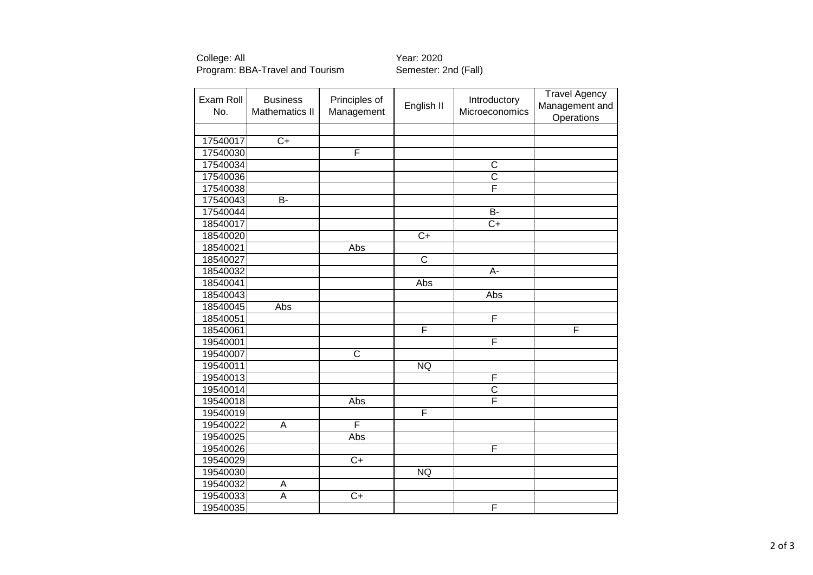College: All Year: 2020 Program: BBA-Travel and Tourism Semester: 2nd (Fall)

| Exam Roll<br>No. | <b>Business</b><br><b>Mathematics II</b> | Principles of<br>Management | English II            | Introductory<br>Microeconomics | <b>Travel Agency</b><br>Management and<br>Operations |
|------------------|------------------------------------------|-----------------------------|-----------------------|--------------------------------|------------------------------------------------------|
|                  |                                          |                             |                       |                                |                                                      |
| 17540017         | $C+$                                     |                             |                       |                                |                                                      |
| 17540030         |                                          | F                           |                       |                                |                                                      |
| 17540034         |                                          |                             |                       | $\overline{C}$                 |                                                      |
| 17540036         |                                          |                             |                       | $\overline{\text{c}}$          |                                                      |
| 17540038         |                                          |                             |                       | $\overline{\mathsf{F}}$        |                                                      |
| 17540043         | <b>B-</b>                                |                             |                       |                                |                                                      |
| 17540044         |                                          |                             |                       | $\overline{B}$                 |                                                      |
| 18540017         |                                          |                             |                       | $C+$                           |                                                      |
| 18540020         |                                          |                             | $C+$                  |                                |                                                      |
| 18540021         |                                          | Abs                         |                       |                                |                                                      |
| 18540027         |                                          |                             | $\overline{\text{c}}$ |                                |                                                      |
| 18540032         |                                          |                             |                       | A-                             |                                                      |
| 18540041         |                                          |                             | Abs                   |                                |                                                      |
| 18540043         |                                          |                             |                       | Abs                            |                                                      |
| 18540045         | Abs                                      |                             |                       |                                |                                                      |
| 18540051         |                                          |                             |                       | F                              |                                                      |
| 18540061         |                                          |                             | F                     |                                | F                                                    |
| 19540001         |                                          |                             |                       | F                              |                                                      |
| 19540007         |                                          | $\overline{C}$              |                       |                                |                                                      |
| 19540011         |                                          |                             | <b>NQ</b>             |                                |                                                      |
| 19540013         |                                          |                             |                       | F                              |                                                      |
| 19540014         |                                          |                             |                       | $\overline{\text{c}}$          |                                                      |
| 19540018         |                                          | Abs                         |                       | F                              |                                                      |
| 19540019         |                                          |                             | F                     |                                |                                                      |
| 19540022         | A                                        | $\overline{\mathsf{F}}$     |                       |                                |                                                      |
| 19540025         |                                          | Abs                         |                       |                                |                                                      |
| 19540026         |                                          |                             |                       | F                              |                                                      |
| 19540029         |                                          | $\overline{C+}$             |                       |                                |                                                      |
| 19540030         |                                          |                             | <b>NQ</b>             |                                |                                                      |
| 19540032         | Α                                        |                             |                       |                                |                                                      |
| 19540033         | $\overline{\mathsf{A}}$                  | $\overline{C}$              |                       |                                |                                                      |
| 19540035         |                                          |                             |                       | F                              |                                                      |